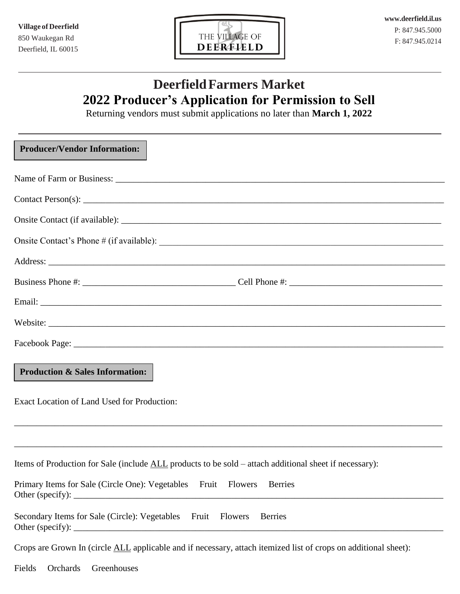

# **DeerfieldFarmers Market 2022 Producer's Application for Permission to Sell**

Returning vendors must submit applications no later than **March 1, 2022**

| <b>Producer/Vendor Information:</b>                                                                             |
|-----------------------------------------------------------------------------------------------------------------|
|                                                                                                                 |
|                                                                                                                 |
|                                                                                                                 |
|                                                                                                                 |
|                                                                                                                 |
|                                                                                                                 |
|                                                                                                                 |
|                                                                                                                 |
|                                                                                                                 |
| <b>Production &amp; Sales Information:</b>                                                                      |
| <b>Exact Location of Land Used for Production:</b>                                                              |
|                                                                                                                 |
| Items of Production for Sale (include <u>ALL</u> products to be sold – attach additional sheet if necessary):   |
| Primary Items for Sale (Circle One): Vegetables Fruit<br><b>Flowers</b><br><b>Berries</b>                       |
| Secondary Items for Sale (Circle): Vegetables Fruit<br><b>Berries</b><br><b>Flowers</b>                         |
| Crops are Grown In (circle ALL applicable and if necessary, attach itemized list of crops on additional sheet): |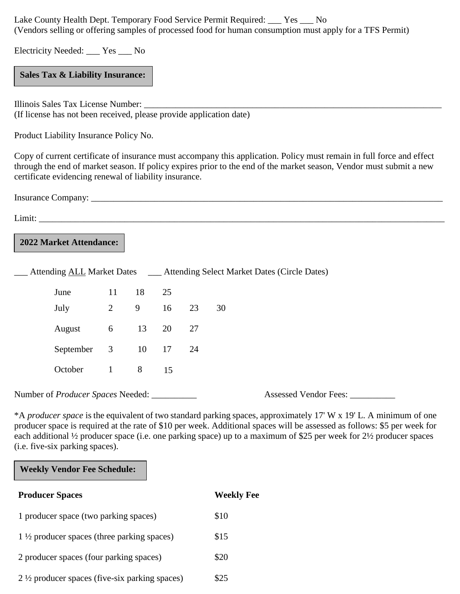Lake County Health Dept. Temporary Food Service Permit Required: \_\_\_ Yes \_\_\_ No (Vendors selling or offering samples of processed food for human consumption must apply for a TFS Permit)

Electricity Needed: \_\_\_ Yes \_\_\_ No

**Sales Tax & Liability Insurance:**

Illinois Sales Tax License Number: \_\_\_\_\_\_\_\_\_\_\_\_\_\_\_\_\_\_\_\_\_\_\_\_\_\_\_\_\_\_\_\_\_\_\_\_\_\_\_\_\_\_\_\_\_\_\_\_\_\_\_\_\_\_\_\_\_\_\_\_\_\_\_\_\_\_ (If license has not been received, please provide application date)

Product Liability Insurance Policy No.

Copy of current certificate of insurance must accompany this application. Policy must remain in full force and effect through the end of market season. If policy expires prior to the end of the market season, Vendor must submit a new certificate evidencing renewal of liability insurance.

Insurance Company: \_\_\_\_\_\_\_\_\_\_\_\_\_\_\_\_\_\_\_\_\_\_\_\_\_\_\_\_\_\_\_\_\_\_\_\_\_\_\_\_\_\_\_\_\_\_\_\_\_\_\_\_\_\_\_\_\_\_\_\_\_\_\_\_\_\_\_\_\_\_\_\_\_\_\_\_\_\_

 $Limit:$ 

### **2022 Market Attendance:**

|  |             |                |    | Attending ALL Market Dates _____ Attending Select Market Dates (Circle Dates) |    |    |  |
|--|-------------|----------------|----|-------------------------------------------------------------------------------|----|----|--|
|  | June        | 11             | 18 | 25                                                                            |    |    |  |
|  | July        | 2              | 9  | 16                                                                            | 23 | 30 |  |
|  | August      | 6              | 13 | 20                                                                            | 27 |    |  |
|  | September 3 |                | 10 | 17                                                                            | 24 |    |  |
|  | October     | $\overline{1}$ | 8  | 15                                                                            |    |    |  |
|  |             |                |    |                                                                               |    |    |  |

Number of *Producer Spaces* Needed: \_\_\_\_\_\_\_\_\_\_ Assessed Vendor Fees: \_\_\_\_\_\_\_\_\_\_

\*A *producer space* is the equivalent of two standard parking spaces, approximately 17' W x 19' L. A minimum of one producer space is required at the rate of \$10 per week. Additional spaces will be assessed as follows: \$5 per week for each additional <sup>1</sup>/<sub>2</sub> producer space (i.e. one parking space) up to a maximum of \$25 per week for 2<sup>1</sup>/<sub>2</sub> producer spaces (i.e. five-six parking spaces).

#### **Weekly Vendor Fee Schedule:**

| <b>Producer Spaces</b>                                   | <b>Weekly Fee</b> |  |
|----------------------------------------------------------|-------------------|--|
| 1 producer space (two parking spaces)                    | \$10              |  |
| $1\frac{1}{2}$ producer spaces (three parking spaces)    | \$15              |  |
| 2 producer spaces (four parking spaces)                  | \$20              |  |
| $2\frac{1}{2}$ producer spaces (five-six parking spaces) | \$25              |  |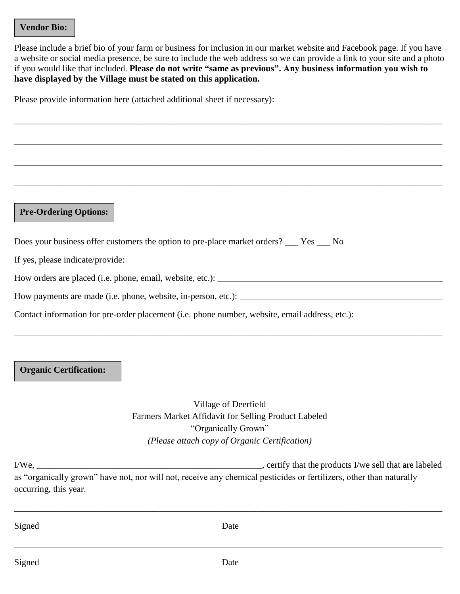#### **Vendor Bio:**

Please include a brief bio of your farm or business for inclusion in our market website and Facebook page. If you have a website or social media presence, be sure to include the web address so we can provide a link to your site and a photo if you would like that included. **Please do not write "same as previous". Any business information you wish to have displayed by the Village must be stated on this application.** 

\_\_\_\_\_\_\_\_\_\_\_\_\_\_\_\_\_\_\_\_\_\_\_\_\_\_\_\_\_\_\_\_\_\_\_\_\_\_\_\_\_\_\_\_\_\_\_\_\_\_\_\_\_\_\_\_\_\_\_\_\_\_\_\_\_\_\_\_\_\_\_\_\_\_\_\_\_\_\_\_\_\_\_\_\_\_\_\_\_\_\_\_\_\_\_

\_\_\_\_\_\_\_\_\_\_\_\_\_\_\_\_\_\_\_\_\_\_\_\_\_\_\_\_\_\_\_\_\_\_\_\_\_\_\_\_\_\_\_\_\_\_\_\_\_\_\_\_\_\_\_\_\_\_\_\_\_\_\_\_\_\_\_\_\_\_\_\_\_\_\_\_\_\_\_\_\_\_\_\_\_\_\_\_\_\_\_\_\_\_\_

\_\_\_\_\_\_\_\_\_\_\_\_\_\_\_\_\_\_\_\_\_\_\_\_\_\_\_\_\_\_\_\_\_\_\_\_\_\_\_\_\_\_\_\_\_\_\_\_\_\_\_\_\_\_\_\_\_\_\_\_\_\_\_\_\_\_\_\_\_\_\_\_\_\_\_\_\_\_\_\_\_\_\_\_\_\_\_\_\_\_\_\_\_\_\_

\_\_\_\_\_\_\_\_\_\_\_\_\_\_\_\_\_\_\_\_\_\_\_\_\_\_\_\_\_\_\_\_\_\_\_\_\_\_\_\_\_\_\_\_\_\_\_\_\_\_\_\_\_\_\_\_\_\_\_\_\_\_\_\_\_\_\_\_\_\_\_\_\_\_\_\_\_\_\_\_\_\_\_\_\_\_\_\_\_\_\_\_\_\_\_

Please provide information here (attached additional sheet if necessary):

#### **Pre-Ordering Options:**

Does your business offer customers the option to pre-place market orders? \_\_\_ Yes \_\_\_ No

If yes, please indicate/provide:

How orders are placed (i.e. phone, email, website, etc.):

How payments are made (i.e. phone, website, in-person, etc.): \_\_\_\_\_\_\_\_\_\_\_\_\_\_\_\_\_\_\_\_\_\_\_\_\_\_\_\_\_\_\_\_\_\_\_\_\_\_\_\_\_\_\_\_\_

Contact information for pre-order placement (i.e. phone number, website, email address, etc.):

#### **Organic Certification:**

Village of Deerfield Farmers Market Affidavit for Selling Product Labeled "Organically Grown" *(Please attach copy of Organic Certification)*

\_\_\_\_\_\_\_\_\_\_\_\_\_\_\_\_\_\_\_\_\_\_\_\_\_\_\_\_\_\_\_\_\_\_\_\_\_\_\_\_\_\_\_\_\_\_\_\_\_\_\_\_\_\_\_\_\_\_\_\_\_\_\_\_\_\_\_\_\_\_\_\_\_\_\_\_\_\_\_\_\_\_\_\_\_\_\_\_\_\_\_\_\_\_\_

I/We, \_\_\_\_\_\_\_\_\_\_\_\_\_\_\_\_\_\_\_\_\_\_\_\_\_\_\_\_\_\_\_\_\_\_\_\_\_\_\_\_\_\_\_\_\_\_\_\_\_\_, certify that the products I/we sell that are labeled as "organically grown" have not, nor will not, receive any chemical pesticides or fertilizers, other than naturally occurring, this year.

\_\_\_\_\_\_\_\_\_\_\_\_\_\_\_\_\_\_\_\_\_\_\_\_\_\_\_\_\_\_\_\_\_\_\_\_\_\_\_\_\_\_\_\_\_\_\_\_\_\_\_\_\_\_\_\_\_\_\_\_\_\_\_\_\_\_\_\_\_\_\_\_\_\_\_\_\_\_\_\_\_\_\_\_\_\_\_\_\_\_\_\_\_\_\_

Signed Date

\_\_\_\_\_\_\_\_\_\_\_\_\_\_\_\_\_\_\_\_\_\_\_\_\_\_\_\_\_\_\_\_\_\_\_\_\_\_\_\_\_\_\_\_\_\_\_\_\_\_\_\_\_\_\_\_\_\_\_\_\_\_\_\_\_\_\_\_\_\_\_\_\_\_\_\_\_\_\_\_\_\_\_\_\_\_\_\_\_\_\_\_\_\_\_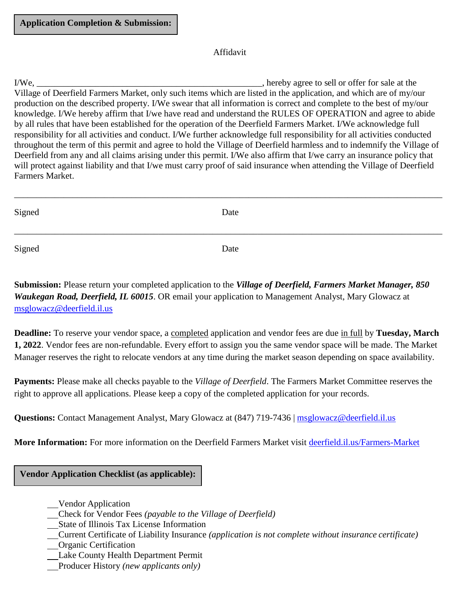#### Affidavit

I/We, \_\_\_\_\_\_\_\_\_\_\_\_\_\_\_\_\_\_\_\_\_\_\_\_\_\_\_\_\_\_\_\_\_\_\_\_\_\_\_\_\_\_\_\_\_\_\_\_\_\_, hereby agree to sell or offer for sale at the Village of Deerfield Farmers Market, only such items which are listed in the application, and which are of my/our production on the described property. I/We swear that all information is correct and complete to the best of my/our knowledge. I/We hereby affirm that I/we have read and understand the RULES OF OPERATION and agree to abide by all rules that have been established for the operation of the Deerfield Farmers Market. I/We acknowledge full responsibility for all activities and conduct. I/We further acknowledge full responsibility for all activities conducted throughout the term of this permit and agree to hold the Village of Deerfield harmless and to indemnify the Village of Deerfield from any and all claims arising under this permit. I/We also affirm that I/we carry an insurance policy that will protect against liability and that I/we must carry proof of said insurance when attending the Village of Deerfield Farmers Market.

| Signed | Date |  |
|--------|------|--|
| Signed | Date |  |

**Submission:** Please return your completed application to the *Village of Deerfield, Farmers Market Manager, 850 Waukegan Road, Deerfield, IL 60015*. OR email your application to Management Analyst, Mary Glowacz at [msglowacz@deerfield.il.us](mailto:msglowacz@deerfield.il.us)

**Deadline:** To reserve your vendor space, a completed application and vendor fees are due in full by **Tuesday, March 1, 2022**. Vendor fees are non-refundable. Every effort to assign you the same vendor space will be made. The Market Manager reserves the right to relocate vendors at any time during the market season depending on space availability.

**Payments:** Please make all checks payable to the *Village of Deerfield*. The Farmers Market Committee reserves the right to approve all applications. Please keep a copy of the completed application for your records.

**Questions:** Contact Management Analyst, Mary Glowacz at (847) 719-7436 | [msglowacz@deerfield.il.us](mailto:msglowacz@deerfield.il.us)

**More Information:** For more information on the Deerfield Farmers Market visit [deerfield.il.us/Farmers-Market](http://deerfield.il.us/Farmers-Market)

#### **Vendor Application Checklist (as applicable):**

- Vendor Application
- Check for Vendor Fees *(payable to the Village of Deerfield)*
- State of Illinois Tax License Information
- Current Certificate of Liability Insurance *(application is not complete without insurance certificate)*
- Organic Certification
- Lake County Health Department Permit
- Producer History *(new applicants only)*